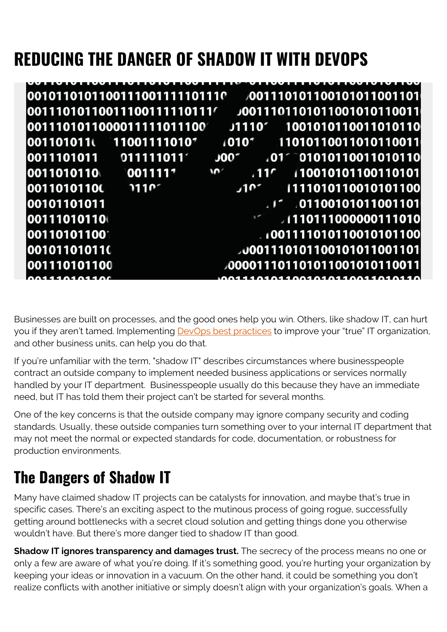# **REDUCING THE DANGER OF SHADOW IT WITH DEVOPS**

|                          | 0010110101100111001111101110 |                                  |                | 001110101100101011001101                  |
|--------------------------|------------------------------|----------------------------------|----------------|-------------------------------------------|
|                          | l00111010110011100111110111′ |                                  |                | J0011101101011001010110011                |
|                          | 0011101011000011111011100    |                                  |                | J1110' 1001010110011010110                |
| 001101011                | 110011110101                 |                                  |                | 1010 <sup>*</sup> 11010110011010110011    |
| $0011101011$ 011111011   |                              | J00 <sup>4</sup>                 |                | $101^{\circ}$ 01010110011010110           |
| 0011010110               | 0011111                      | $\mathbf{M}$<br>.11 <sup>c</sup> |                | 10010101100110101                         |
| 00110101100              | 7110 <sup>7</sup>            | .10 <sup>2</sup>                 |                | 1111010110010101100                       |
| 00101101011              |                              |                                  |                | $\cdot$ $\cdot$ $\cdot$ 01100101011001101 |
| 00111010110              |                              |                                  |                | /110111000000111010                       |
| 00110101100 <sup>-</sup> |                              |                                  |                | 001111010110010101100                     |
| 001011010110             |                              |                                  |                | <b>JU001110101100101011001101</b>         |
| 001110101100             |                              |                                  |                | 000011101101011001010110011               |
| 1010110 <i>1</i>         |                              |                                  | 01100101011001 |                                           |

Businesses are built on processes, and the good ones help you win. Others, like shadow IT, can hurt you if they aren't tamed. Implementing **DevOps best practices** to improve your "true" IT organization, and other business units, can help you do that.

If you're unfamiliar with the term, "shadow IT" describes circumstances where businesspeople contract an outside company to implement needed business applications or services normally handled by your IT department. Businesspeople usually do this because they have an immediate need, but IT has told them their project can't be started for several months.

One of the key concerns is that the outside company may ignore company security and coding standards. Usually, these outside companies turn something over to your internal IT department that may not meet the normal or expected standards for code, documentation, or robustness for production environments.

## **The Dangers of Shadow IT**

Many have claimed shadow IT projects can be catalysts for innovation, and maybe that's true in specific cases. There's an exciting aspect to the mutinous process of going rogue, successfully getting around bottlenecks with a secret cloud solution and getting things done you otherwise wouldn't have. But there's more danger tied to shadow IT than good.

**Shadow IT ignores transparency and damages trust.** The secrecy of the process means no one or only a few are aware of what you're doing. If it's something good, you're hurting your organization by keeping your ideas or innovation in a vacuum. On the other hand, it could be something you don't realize conflicts with another initiative or simply doesn't align with your organization's goals. When a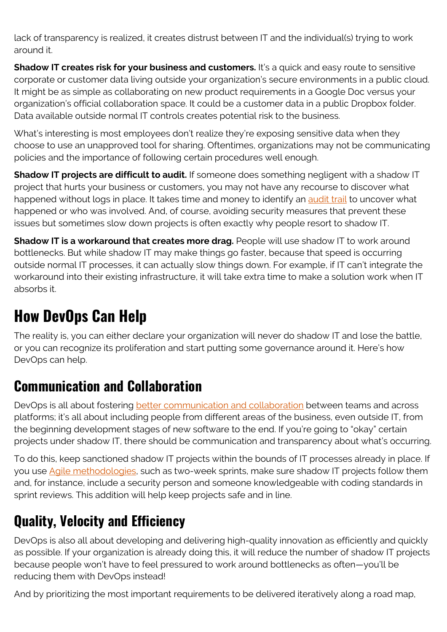lack of transparency is realized, it creates distrust between IT and the individual(s) trying to work around it.

**Shadow IT creates risk for your business and customers.** It's a quick and easy route to sensitive corporate or customer data living outside your organization's secure environments in a public cloud. It might be as simple as collaborating on new product requirements in a Google Doc versus your organization's official collaboration space. It could be a customer data in a public Dropbox folder. Data available outside normal IT controls creates potential risk to the business.

What's interesting is most employees don't realize they're exposing sensitive data when they choose to use an unapproved tool for sharing. Oftentimes, organizations may not be communicating policies and the importance of following certain procedures well enough.

**Shadow IT projects are difficult to audit.** If someone does something negligent with a shadow IT project that hurts your business or customers, you may not have any recourse to discover what happened without logs in place. It takes time and money to identify an [audit trail](https://blogs.bmc.com/it-solutions//bmc-ami-security-session-monitor.html) to uncover what happened or who was involved. And, of course, avoiding security measures that prevent these issues but sometimes slow down projects is often exactly why people resort to shadow IT.

**Shadow IT is a workaround that creates more drag.** People will use shadow IT to work around bottlenecks. But while shadow IT may make things go faster, because that speed is occurring outside normal IT processes, it can actually slow things down. For example, if IT can't integrate the workaround into their existing infrastructure, it will take extra time to make a solution work when IT absorbs it.

## **How DevOps Can Help**

The reality is, you can either declare your organization will never do shadow IT and lose the battle, or you can recognize its proliferation and start putting some governance around it. Here's how DevOps can help.

#### **Communication and Collaboration**

DevOps is all about fostering [better communication and collaboration](https://blogs.bmc.com/blogs/dont-break-down-silos-bring-them-together/) between teams and across platforms; it's all about including people from different areas of the business, even outside IT, from the beginning development stages of new software to the end. If you're going to "okay" certain projects under shadow IT, there should be communication and transparency about what's occurring.

To do this, keep sanctioned shadow IT projects within the bounds of IT processes already in place. If you use [Agile methodologies](https://blogs.bmc.com/forms/ten-steps-to-true-mainframe-agility-ebook), such as two-week sprints, make sure shadow IT projects follow them and, for instance, include a security person and someone knowledgeable with coding standards in sprint reviews. This addition will help keep projects safe and in line.

### **Quality, Velocity and Efficiency**

DevOps is also all about developing and delivering high-quality innovation as efficiently and quickly as possible. If your organization is already doing this, it will reduce the number of shadow IT projects because people won't have to feel pressured to work around bottlenecks as often—you'll be reducing them with DevOps instead!

And by prioritizing the most important requirements to be delivered iteratively along a road map,